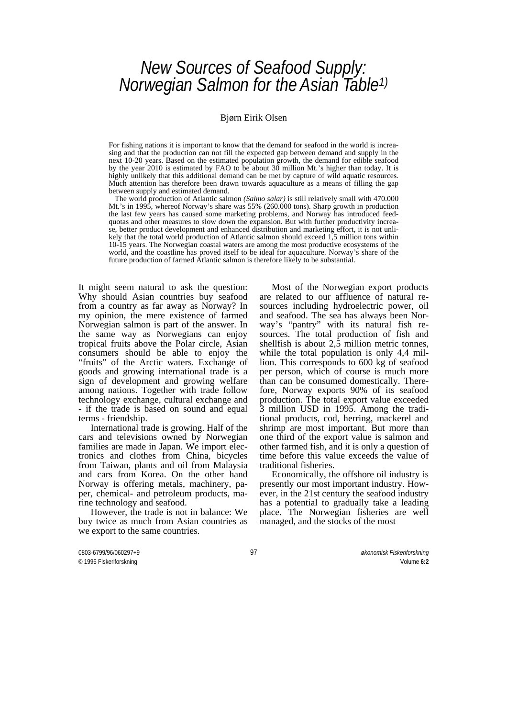# *New Sources of Seafood Supply: Norwegian Salmon for the Asian Table[1\)](#page-8-0)*

#### Bjørn Eirik Olsen

For fishing nations it is important to know that the demand for seafood in the world is increasing and that the production can not fill the expected gap between demand and supply in the next 10-20 years. Based on the estimated population growth, the demand for edible seafood by the year 2010 is estimated by FAO to be about 30 million Mt.'s higher than today. It is highly unlikely that this additional demand can be met by capture of wild aquatic resources. Much attention has therefore been drawn towards aquaculture as a means of filling the gap between supply and estimated demand.

 The world production of Atlantic salmon *(Salmo salar)* is still relatively small with 470.000 Mt.'s in 1995, whereof Norway's share was 55% (260.000 tons). Sharp growth in production the last few years has caused some marketing problems, and Norway has introduced feedquotas and other measures to slow down the expansion. But with further productivity increase, better product development and enhanced distribution and marketing effort, it is not unlikely that the total world production of Atlantic salmon should exceed 1,5 million tons within 10-15 years. The Norwegian coastal waters are among the most productive ecosystems of the world, and the coastline has proved itself to be ideal for aquaculture. Norway's share of the future production of farmed Atlantic salmon is therefore likely to be substantial.

It might seem natural to ask the question: Why should Asian countries buy seafood from a country as far away as Norway? In my opinion, the mere existence of farmed Norwegian salmon is part of the answer. In the same way as Norwegians can enjoy tropical fruits above the Polar circle, Asian consumers should be able to enjoy the "fruits" of the Arctic waters. Exchange of goods and growing international trade is a sign of development and growing welfare among nations. Together with trade follow technology exchange, cultural exchange and - if the trade is based on sound and equal terms - friendship.

 International trade is growing. Half of the cars and televisions owned by Norwegian families are made in Japan. We import electronics and clothes from China, bicycles from Taiwan, plants and oil from Malaysia and cars from Korea. On the other hand Norway is offering metals, machinery, paper, chemical- and petroleum products, marine technology and seafood.

 However, the trade is not in balance: We buy twice as much from Asian countries as we export to the same countries.

 Most of the Norwegian export products are related to our affluence of natural resources including hydroelectric power, oil and seafood. The sea has always been Norway's "pantry" with its natural fish resources. The total production of fish and shellfish is about  $2,\overline{5}$  million metric tonnes, while the total population is only 4,4 million. This corresponds to 600 kg of seafood per person, which of course is much more than can be consumed domestically. Therefore, Norway exports 90% of its seafood production. The total export value exceeded 3 million USD in 1995. Among the traditional products, cod, herring, mackerel and shrimp are most important. But more than one third of the export value is salmon and other farmed fish, and it is only a question of time before this value exceeds the value of traditional fisheries.

 Economically, the offshore oil industry is presently our most important industry. However, in the 21st century the seafood industry has a potential to gradually take a leading place. The Norwegian fisheries are well managed, and the stocks of the most

0803-6799/96/060297+9 97 *økonomisk Fiskeriforskning*

© 1996 Fiskeriforskning Volume **6:2**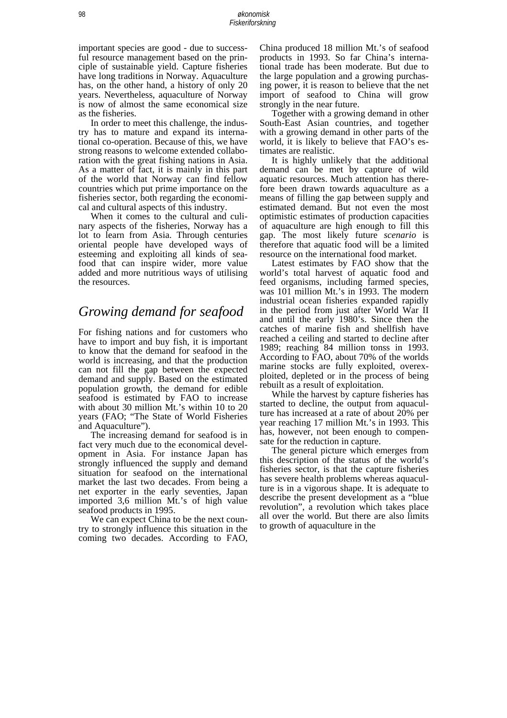important species are good - due to successful resource management based on the principle of sustainable yield. Capture fisheries have long traditions in Norway. Aquaculture has, on the other hand, a history of only 20 years. Nevertheless, aquaculture of Norway is now of almost the same economical size as the fisheries.

 In order to meet this challenge, the industry has to mature and expand its international co-operation. Because of this, we have strong reasons to welcome extended collaboration with the great fishing nations in Asia. As a matter of fact, it is mainly in this part of the world that Norway can find fellow countries which put prime importance on the fisheries sector, both regarding the economical and cultural aspects of this industry.

 When it comes to the cultural and culinary aspects of the fisheries, Norway has a lot to learn from Asia. Through centuries oriental people have developed ways of esteeming and exploiting all kinds of seafood that can inspire wider, more value added and more nutritious ways of utilising the resources.

## *Growing demand for seafood*

For fishing nations and for customers who have to import and buy fish, it is important to know that the demand for seafood in the world is increasing, and that the production can not fill the gap between the expected demand and supply. Based on the estimated population growth, the demand for edible seafood is estimated by FAO to increase with about 30 million Mt.'s within 10 to 20 years (FAO; "The State of World Fisheries and Aquaculture").

 The increasing demand for seafood is in fact very much due to the economical development in Asia. For instance Japan has strongly influenced the supply and demand situation for seafood on the international market the last two decades. From being a net exporter in the early seventies, Japan imported 3,6 million Mt.'s of high value seafood products in 1995.

 We can expect China to be the next country to strongly influence this situation in the coming two decades. According to FAO, China produced 18 million Mt.'s of seafood products in 1993. So far China's international trade has been moderate. But due to the large population and a growing purchasing power, it is reason to believe that the net import of seafood to China will grow strongly in the near future.

 Together with a growing demand in other South-East Asian countries, and together with a growing demand in other parts of the world, it is likely to believe that FAO's estimates are realistic.

 It is highly unlikely that the additional demand can be met by capture of wild aquatic resources. Much attention has therefore been drawn towards aquaculture as a means of filling the gap between supply and estimated demand. But not even the most optimistic estimates of production capacities of aquaculture are high enough to fill this gap. The most likely future *scenario* is therefore that aquatic food will be a limited resource on the international food market.

 Latest estimates by FAO show that the world's total harvest of aquatic food and feed organisms, including farmed species, was 101 million Mt.'s in 1993. The modern industrial ocean fisheries expanded rapidly in the period from just after World War II and until the early 1980's. Since then the catches of marine fish and shellfish have reached a ceiling and started to decline after 1989; reaching 84 million tonss in 1993. According to FAO, about 70% of the worlds marine stocks are fully exploited, overexploited, depleted or in the process of being rebuilt as a result of exploitation.

 While the harvest by capture fisheries has started to decline, the output from aquaculture has increased at a rate of about 20% per year reaching 17 million Mt.'s in 1993. This has, however, not been enough to compensate for the reduction in capture.

 The general picture which emerges from this description of the status of the world's fisheries sector, is that the capture fisheries has severe health problems whereas aquaculture is in a vigorous shape. It is adequate to describe the present development as a "blue revolution", a revolution which takes place all over the world. But there are also limits to growth of aquaculture in the

98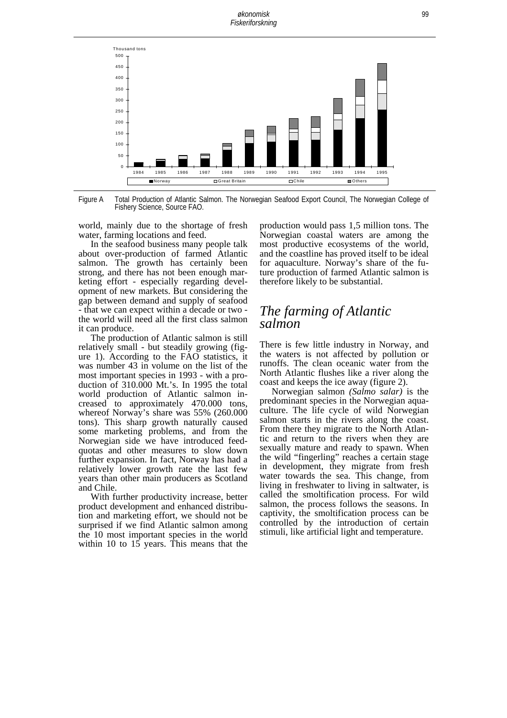

Figure A Total Production of Atlantic Salmon. The Norwegian Seafood Export Council, The Norwegian College of Fishery Science, Source FAO.

world, mainly due to the shortage of fresh water, farming locations and feed.

In the seafood business many people talk about over-production of farmed Atlantic salmon. The growth has certainly been strong, and there has not been enough marketing effort - especially regarding development of new markets. But considering the gap between demand and supply of seafood - that we can expect within a decade or two - the world will need all the first class salmon it can produce.

The production of Atlantic salmon is still relatively small - but steadily growing (figure 1). According to the FAO statistics, it was number 43 in volume on the list of the most important species in 1993 - with a production of 310.000 Mt.'s. In 1995 the total world production of Atlantic salmon increased to approximately 470.000 tons, whereof Norway's share was 55% (260.000 tons). This sharp growth naturally caused some marketing problems, and from the Norwegian side we have introduced feedquotas and other measures to slow down further expansion. In fact, Norway has had a relatively lower growth rate the last few years than other main producers as Scotland and Chile.

With further productivity increase, better product development and enhanced distribution and marketing effort, we should not be surprised if we find Atlantic salmon among the 10 most important species in the world within 10 to  $15$  years. This means that the

production would pass 1,5 million tons. The Norwegian coastal waters are among the most productive ecosystems of the world, and the coastline has proved itself to be ideal for aquaculture. Norway's share of the future production of farmed Atlantic salmon is therefore likely to be substantial.

#### *The farming of Atlantic salmon*

There is few little industry in Norway, and the waters is not affected by pollution or runoffs. The clean oceanic water from the North Atlantic flushes like a river along the coast and keeps the ice away (figure 2).

 Norwegian salmon *(Salmo salar)* is the predominant species in the Norwegian aquaculture. The life cycle of wild Norwegian salmon starts in the rivers along the coast. From there they migrate to the North Atlantic and return to the rivers when they are sexually mature and ready to spawn. When the wild "fingerling" reaches a certain stage in development, they migrate from fresh water towards the sea. This change, from living in freshwater to living in saltwater, is called the smoltification process. For wild salmon, the process follows the seasons. In captivity, the smoltification process can be controlled by the introduction of certain stimuli, like artificial light and temperature.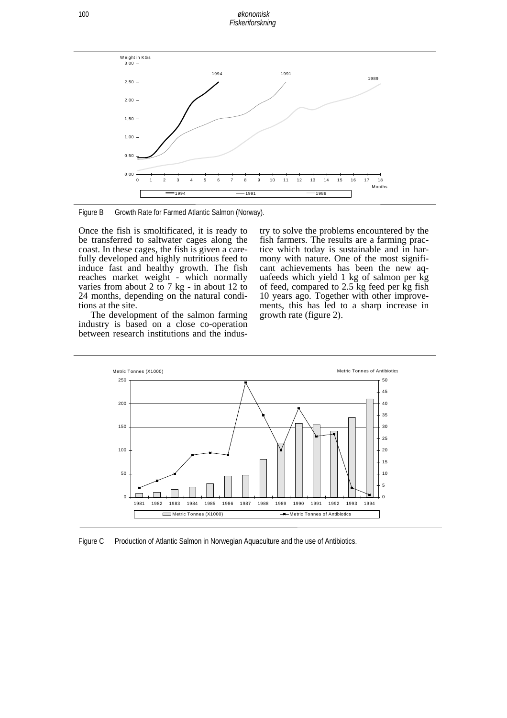*økonomisk Fiskeriforskning* 



Figure B Growth Rate for Farmed Atlantic Salmon (Norway).

Once the fish is smoltificated, it is ready to be transferred to saltwater cages along the coast. In these cages, the fish is given a carefully developed and highly nutritious feed to induce fast and healthy growth. The fish reaches market weight - which normally varies from about 2 to 7 kg - in about 12 to 24 months, depending on the natural conditions at the site.

The development of the salmon farming industry is based on a close co-operation between research institutions and the industry to solve the problems encountered by the fish farmers. The results are a farming practice which today is sustainable and in harmony with nature. One of the most significant achievements has been the new aquafeeds which yield 1 kg of salmon per kg of feed, compared to 2.5 kg feed per kg fish 10 years ago. Together with other improvements, this has led to a sharp increase in growth rate (figure 2).



Figure C Production of Atlantic Salmon in Norwegian Aquaculture and the use of Antibiotics.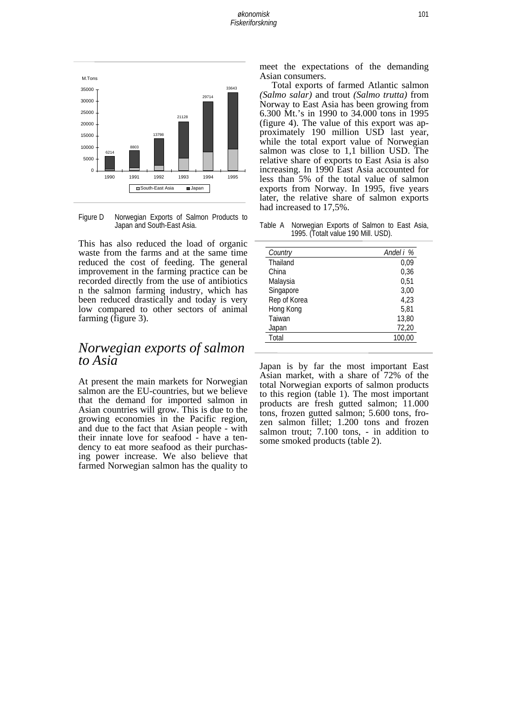

Figure D Norwegian Exports of Salmon Products to Japan and South-East Asia.

This has also reduced the load of organic waste from the farms and at the same time reduced the cost of feeding. The general improvement in the farming practice can be recorded directly from the use of antibiotics n the salmon farming industry, which has been reduced drastically and today is very low compared to other sectors of animal farming (figure 3).

### *Norwegian exports of salmon to Asia*

At present the main markets for Norwegian salmon are the EU-countries, but we believe that the demand for imported salmon in Asian countries will grow. This is due to the growing economies in the Pacific region, and due to the fact that Asian people - with their innate love for seafood - have a tendency to eat more seafood as their purchasing power increase. We also believe that farmed Norwegian salmon has the quality to meet the expectations of the demanding Asian consumers.

Total exports of farmed Atlantic salmon *(Salmo salar)* and trout *(Salmo trutta)* from Norway to East Asia has been growing from 6.300 Mt.'s in 1990 to 34.000 tons in 1995 (figure 4). The value of this export was approximately 190 million USD last year, while the total export value of Norwegian salmon was close to 1,1 billion USD. The relative share of exports to East Asia is also increasing. In 1990 East Asia accounted for less than 5% of the total value of salmon exports from Norway. In 1995, five years later, the relative share of salmon exports had increased to 17,5%.

Table A Norwegian Exports of Salmon to East Asia, 1995. (Totalt value 190 Mill. USD).

| Country      | Andel i % |  |  |
|--------------|-----------|--|--|
| Thailand     | 0,09      |  |  |
| China        | 0.36      |  |  |
| Malaysia     | 0,51      |  |  |
| Singapore    | 3.00      |  |  |
| Rep of Korea | 4.23      |  |  |
| Hong Kong    | 5.81      |  |  |
| Taiwan       | 13,80     |  |  |
| Japan        | 72,20     |  |  |
| Total        | 100.00    |  |  |

Japan is by far the most important East Asian market, with a share of 72% of the total Norwegian exports of salmon products to this region (table 1). The most important products are fresh gutted salmon; 11.000 tons, frozen gutted salmon; 5.600 tons, frozen salmon fillet; 1.200 tons and frozen salmon trout; 7.100 tons, - in addition to some smoked products (table 2).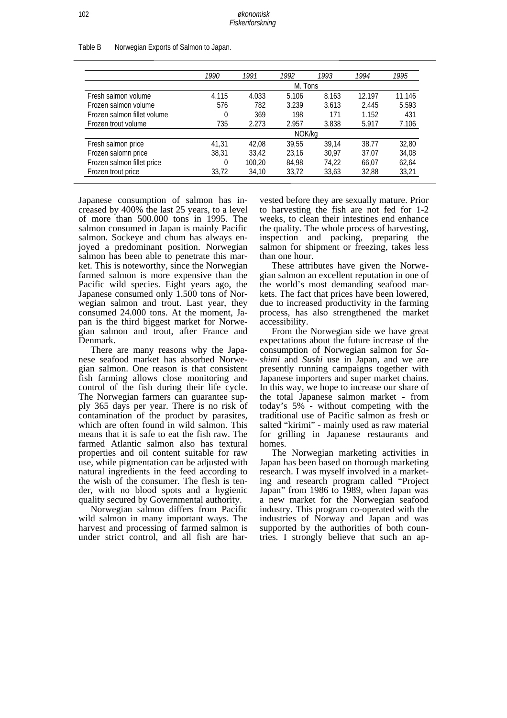|                             | 1990    | 1991   | 1992  | 1993  | 1994   | 1995   |  |
|-----------------------------|---------|--------|-------|-------|--------|--------|--|
|                             | M. Tons |        |       |       |        |        |  |
| Fresh salmon volume         | 4.115   | 4.033  | 5.106 | 8.163 | 12.197 | 11.146 |  |
| Frozen salmon volume        | 576     | 782    | 3.239 | 3.613 | 2.445  | 5.593  |  |
| Frozen salmon fillet volume | 0       | 369    | 198   | 171   | 1.152  | 431    |  |
| Frozen trout volume         | 735     | 2.273  | 2.957 | 3.838 | 5.917  | 7.106  |  |
|                             | NOK/kg  |        |       |       |        |        |  |
| Fresh salmon price          | 41,31   | 42.08  | 39.55 | 39.14 | 38,77  | 32,80  |  |
| Frozen salomn price         | 38.31   | 33.42  | 23.16 | 30.97 | 37.07  | 34,08  |  |
| Frozen salmon fillet price  | 0       | 100.20 | 84.98 | 74,22 | 66.07  | 62,64  |  |
| Frozen trout price          | 33,72   | 34,10  | 33,72 | 33,63 | 32,88  | 33,21  |  |

Table B Norwegian Exports of Salmon to Japan.

Japanese consumption of salmon has increased by 400% the last 25 years, to a level of more than 500.000 tons in 1995. The salmon consumed in Japan is mainly Pacific salmon. Sockeye and chum has always enjoyed a predominant position. Norwegian salmon has been able to penetrate this market. This is noteworthy, since the Norwegian farmed salmon is more expensive than the Pacific wild species. Eight years ago, the Japanese consumed only 1.500 tons of Norwegian salmon and trout. Last year, they consumed 24.000 tons. At the moment, Japan is the third biggest market for Norwegian salmon and trout, after France and Denmark.

There are many reasons why the Japanese seafood market has absorbed Norwegian salmon. One reason is that consistent fish farming allows close monitoring and control of the fish during their life cycle. The Norwegian farmers can guarantee supply 365 days per year. There is no risk of contamination of the product by parasites, which are often found in wild salmon. This means that it is safe to eat the fish raw. The farmed Atlantic salmon also has textural properties and oil content suitable for raw use, while pigmentation can be adjusted with natural ingredients in the feed according to the wish of the consumer. The flesh is tender, with no blood spots and a hygienic quality secured by Governmental authority.

Norwegian salmon differs from Pacific wild salmon in many important ways. The harvest and processing of farmed salmon is under strict control, and all fish are har-

vested before they are sexually mature. Prior to harvesting the fish are not fed for 1-2 weeks, to clean their intestines end enhance the quality. The whole process of harvesting, inspection and packing, preparing the salmon for shipment or freezing, takes less than one hour.

These attributes have given the Norwegian salmon an excellent reputation in one of the world's most demanding seafood markets. The fact that prices have been lowered, due to increased productivity in the farming process, has also strengthened the market accessibility.

From the Norwegian side we have great expectations about the future increase of the consumption of Norwegian salmon for *Sashimi* and *Sushi* use in Japan, and we are presently running campaigns together with Japanese importers and super market chains. In this way, we hope to increase our share of the total Japanese salmon market - from today's 5% - without competing with the traditional use of Pacific salmon as fresh or salted "kirimi" - mainly used as raw material for grilling in Japanese restaurants and homes.

The Norwegian marketing activities in Japan has been based on thorough marketing research. I was myself involved in a marketing and research program called "Project Japan" from 1986 to 1989, when Japan was a new market for the Norwegian seafood industry. This program co-operated with the industries of Norway and Japan and was supported by the authorities of both countries. I strongly believe that such an ap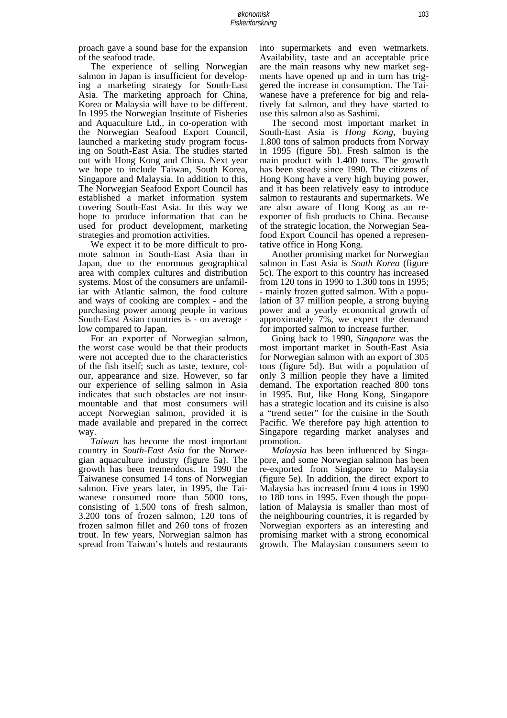proach gave a sound base for the expansion of the seafood trade.

 The experience of selling Norwegian salmon in Japan is insufficient for developing a marketing strategy for South-East Asia. The marketing approach for China, Korea or Malaysia will have to be different. In 1995 the Norwegian Institute of Fisheries and Aquaculture Ltd., in co-operation with the Norwegian Seafood Export Council, launched a marketing study program focusing on South-East Asia. The studies started out with Hong Kong and China. Next year we hope to include Taiwan, South Korea, Singapore and Malaysia. In addition to this, The Norwegian Seafood Export Council has established a market information system covering South-East Asia. In this way we hope to produce information that can be used for product development, marketing strategies and promotion activities.

 We expect it to be more difficult to promote salmon in South-East Asia than in Japan, due to the enormous geographical area with complex cultures and distribution systems. Most of the consumers are unfamiliar with Atlantic salmon, the food culture and ways of cooking are complex - and the purchasing power among people in various South-East Asian countries is - on average low compared to Japan.

 For an exporter of Norwegian salmon, the worst case would be that their products were not accepted due to the characteristics of the fish itself; such as taste, texture, colour, appearance and size. However, so far our experience of selling salmon in Asia indicates that such obstacles are not insurmountable and that most consumers will accept Norwegian salmon, provided it is made available and prepared in the correct way.

 *Taiwan* has become the most important country in *South-East Asia* for the Norwegian aquaculture industry (figure 5a). The growth has been tremendous. In 1990 the Taiwanese consumed 14 tons of Norwegian salmon. Five years later, in 1995, the Taiwanese consumed more than 5000 tons, consisting of 1.500 tons of fresh salmon, 3.200 tons of frozen salmon, 120 tons of frozen salmon fillet and 260 tons of frozen trout. In few years, Norwegian salmon has spread from Taiwan's hotels and restaurants into supermarkets and even wetmarkets. Availability, taste and an acceptable price are the main reasons why new market segments have opened up and in turn has triggered the increase in consumption. The Taiwanese have a preference for big and relatively fat salmon, and they have started to use this salmon also as Sashimi.

 The second most important market in South-East Asia is *Hong Kong*, buying 1.800 tons of salmon products from Norway in 1995 (figure 5b). Fresh salmon is the main product with 1.400 tons. The growth has been steady since 1990. The citizens of Hong Kong have a very high buying power, and it has been relatively easy to introduce salmon to restaurants and supermarkets. We are also aware of Hong Kong as an reexporter of fish products to China. Because of the strategic location, the Norwegian Seafood Export Council has opened a representative office in Hong Kong.

 Another promising market for Norwegian salmon in East Asia is *South Korea* (figure 5c). The export to this country has increased from 120 tons in 1990 to 1.300 tons in 1995; - mainly frozen gutted salmon. With a population of 37 million people, a strong buying power and a yearly economical growth of approximately 7%, we expect the demand for imported salmon to increase further.

 Going back to 1990, *Singapore* was the most important market in South-East Asia for Norwegian salmon with an export of 305 tons (figure 5d). But with a population of only 3 million people they have a limited demand. The exportation reached 800 tons in 1995. But, like Hong Kong, Singapore has a strategic location and its cuisine is also a "trend setter" for the cuisine in the South Pacific. We therefore pay high attention to Singapore regarding market analyses and promotion.

 *Malaysia* has been influenced by Singapore, and some Norwegian salmon has been re-exported from Singapore to Malaysia (figure 5e). In addition, the direct export to Malaysia has increased from 4 tons in 1990 to 180 tons in 1995. Even though the population of Malaysia is smaller than most of the neighbouring countries, it is regarded by Norwegian exporters as an interesting and promising market with a strong economical growth. The Malaysian consumers seem to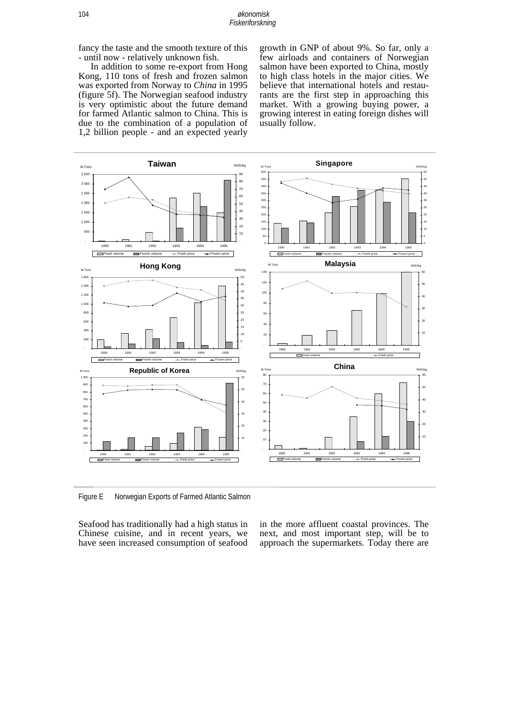fancy the taste and the smooth texture of this - until now - relatively unknown fish.

In addition to some re-export from Hong Kong, 110 tons of fresh and frozen salmon was exported from Norway to *China* in 1995 (figure 5f). The Norwegian seafood industry is very optimistic about the future demand for farmed Atlantic salmon to China. This is due to the combination of a population of 1,2 billion people - and an expected yearly

growth in GNP of about 9%. So far, only a few airloads and containers of Norwegian salmon have been exported to China, mostly to high class hotels in the major cities. We believe that international hotels and restaurants are the first step in approaching this market. With a growing buying power, a growing interest in eating foreign dishes will usually follow.



Figure E Norwegian Exports of Farmed Atlantic Salmon

Seafood has traditionally had a high status in Chinese cuisine, and in recent years, we have seen increased consumption of seafood in the more affluent coastal provinces. The next, and most important step, will be to approach the supermarkets. Today there are